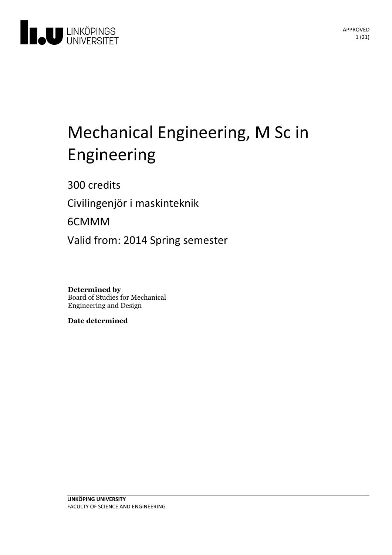

# Mechanical Engineering, M Sc in Engineering

300 credits

Civilingenjör i maskinteknik

6CMMM

Valid from: 2014 Spring semester

**Determined by** Board of Studies for Mechanical Engineering and Design

**Date determined**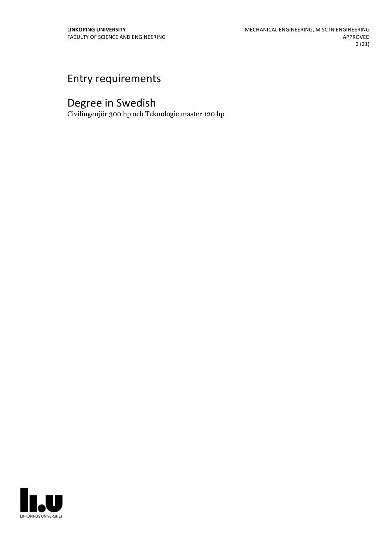# Entry requirements

# Degree in Swedish

Civilingenjör 300 hp och Teknologie master 120 hp

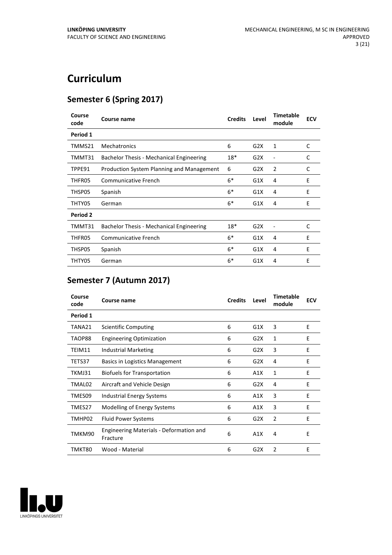# **Curriculum**

### **Semester 6 (Spring 2017)**

| Course<br>code | Course name                               | <b>Credits</b> | Level | <b>Timetable</b><br>module | <b>ECV</b> |
|----------------|-------------------------------------------|----------------|-------|----------------------------|------------|
| Period 1       |                                           |                |       |                            |            |
| TMMS21         | <b>Mechatronics</b>                       | 6              | G2X   | 1                          | C          |
| TMMT31         | Bachelor Thesis - Mechanical Engineering  | 18*            | G2X   |                            | C          |
| TPPE91         | Production System Planning and Management | 6              | G2X   | 2                          | C          |
| THFR05         | <b>Communicative French</b>               | $6*$           | G1X   | 4                          | E          |
| THSP05         | Spanish                                   | $6*$           | G1X   | 4                          | E          |
| THTY05         | German                                    | $6*$           | G1X   | 4                          | E          |
| Period 2       |                                           |                |       |                            |            |
| TMMT31         | Bachelor Thesis - Mechanical Engineering  | $18*$          | G2X   |                            | C          |
| THFR05         | <b>Communicative French</b>               | $6*$           | G1X   | 4                          | E          |
| THSP05         | Spanish                                   | $6*$           | G1X   | 4                          | E          |
| THTY05         | German                                    | $6*$           | G1X   | 4                          | E          |

# **Semester 7 (Autumn 2017)**

| Course<br>code | <b>Course name</b>                                  | <b>Credits</b> | Level | <b>Timetable</b><br>module | <b>ECV</b> |
|----------------|-----------------------------------------------------|----------------|-------|----------------------------|------------|
| Period 1       |                                                     |                |       |                            |            |
| TANA21         | Scientific Computing                                | 6              | G1X   | 3                          | E          |
| TAOP88         | <b>Engineering Optimization</b>                     | 6              | G2X   | 1                          | E          |
| TEIM11         | <b>Industrial Marketing</b>                         | 6              | G2X   | 3                          | E          |
| TETS37         | Basics in Logistics Management                      | 6              | G2X   | 4                          | Е          |
| TKMJ31         | Biofuels for Transportation                         | 6              | A1X   | 1                          | E          |
| TMAL02         | Aircraft and Vehicle Design                         | 6              | G2X   | 4                          | E          |
| TMES09         | <b>Industrial Energy Systems</b>                    | 6              | A1X   | 3                          | E          |
| TMES27         | Modelling of Energy Systems                         | 6              | A1X   | 3                          | E          |
| TMHP02         | <b>Fluid Power Systems</b>                          | 6              | G2X   | 2                          | E          |
| TMKM90         | Engineering Materials - Deformation and<br>Fracture | 6              | A1X   | 4                          | E          |
| TMKT80         | Wood - Material                                     | 6              | G2X   | $\overline{2}$             | E          |

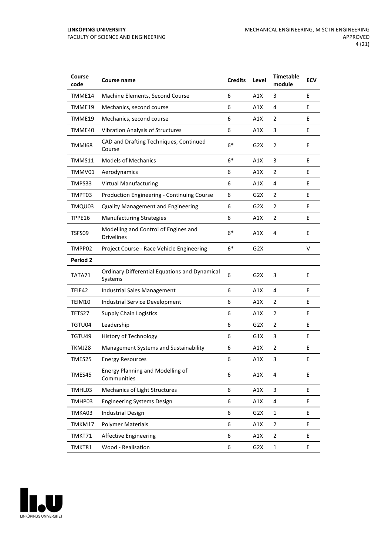| Course<br>code  | <b>Course name</b>                                              | <b>Credits</b> | Level            | <b>Timetable</b><br>module | <b>ECV</b> |
|-----------------|-----------------------------------------------------------------|----------------|------------------|----------------------------|------------|
| TMME14          | Machine Elements, Second Course                                 | 6              | A1X              | 3                          | E          |
| TMME19          | Mechanics, second course                                        | 6              | A1X              | 4                          | E          |
| TMME19          | Mechanics, second course                                        | 6              | A1X              | 2                          | E          |
| TMME40          | <b>Vibration Analysis of Structures</b>                         | 6              | A1X              | 3                          | E          |
| <b>TMMI68</b>   | CAD and Drafting Techniques, Continued<br>Course                | $6*$           | G <sub>2</sub> X | $\overline{2}$             | E          |
| TMMS11          | <b>Models of Mechanics</b>                                      | $6*$           | A1X              | 3                          | E          |
| TMMV01          | Aerodynamics                                                    | 6              | A1X              | 2                          | E          |
| TMPS33          | <b>Virtual Manufacturing</b>                                    | 6              | A1X              | 4                          | E          |
| TMPT03          | Production Engineering - Continuing Course                      | 6              | G2X              | 2                          | E          |
| TMQU03          | <b>Quality Management and Engineering</b>                       | 6              | G2X              | 2                          | E          |
| TPPE16          | <b>Manufacturing Strategies</b>                                 | 6              | A1X              | $\overline{2}$             | E          |
| TSFS09          | Modelling and Control of Engines and<br><b>Drivelines</b>       | $6*$           | A1X              | 4                          | E          |
| TMPP02          | Project Course - Race Vehicle Engineering                       | $6*$           | G <sub>2</sub> X |                            | V          |
| <b>Period 2</b> |                                                                 |                |                  |                            |            |
| TATA71          | <b>Ordinary Differential Equations and Dynamical</b><br>Systems | 6              | G <sub>2</sub> X | 3                          | E          |
| TEIE42          | Industrial Sales Management                                     | 6              | A1X              | 4                          | E          |
| TEIM10          | Industrial Service Development                                  | 6              | A1X              | 2                          | E          |
| TETS27          | <b>Supply Chain Logistics</b>                                   | 6              | A1X              | $\overline{2}$             | E          |
| TGTU04          | Leadership                                                      | 6              | G <sub>2</sub> X | $\overline{2}$             | Е          |
| TGTU49          | <b>History of Technology</b>                                    | 6              | G1X              | 3                          | E          |
| TKMJ28          | Management Systems and Sustainability                           | 6              | A1X              | 2                          | E          |
| TMES25          | <b>Energy Resources</b>                                         | 6              | A1X              | 3                          | E          |
| TMES45          | Energy Planning and Modelling of<br>Communities                 | 6              | A1X              | 4                          | E          |
| TMHL03          | Mechanics of Light Structures                                   | 6              | A1X              | 3                          | E          |
| TMHP03          | <b>Engineering Systems Design</b>                               | 6              | A1X              | 4                          | E          |
| TMKA03          | <b>Industrial Design</b>                                        | 6              | G <sub>2</sub> X | $\mathbf{1}$               | E.         |
| TMKM17          | <b>Polymer Materials</b>                                        | 6              | A1X              | $\overline{2}$             | E          |
| TMKT71          | <b>Affective Engineering</b>                                    | 6              | A1X              | $\mathbf 2$                | E          |
| TMKT81          | Wood - Realisation                                              | 6              | G <sub>2</sub> X | $\mathbf 1$                | E          |

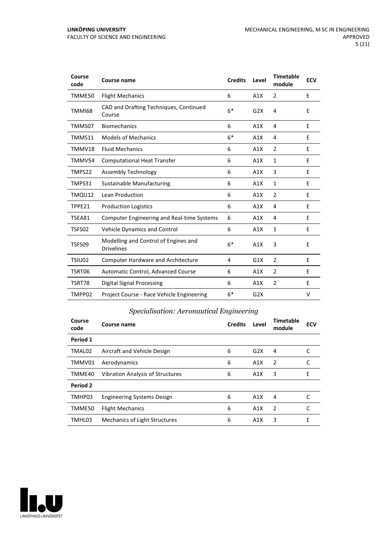| Course<br>code | <b>Course name</b>                                        | <b>Credits</b> | Level | <b>Timetable</b><br>module | <b>ECV</b> |
|----------------|-----------------------------------------------------------|----------------|-------|----------------------------|------------|
| TMME50         | <b>Flight Mechanics</b>                                   | 6              | A1X   | 2                          | E          |
| <b>TMMI68</b>  | CAD and Drafting Techniques, Continued<br>Course          | $6*$           | G2X   | 4                          | E          |
| TMMS07         | Biomechanics                                              | 6              | A1X   | 4                          | E          |
| TMMS11         | <b>Models of Mechanics</b>                                | $6*$           | A1X   | 4                          | E          |
| TMMV18         | <b>Fluid Mechanics</b>                                    | 6              | A1X   | 2                          | E          |
| TMMV54         | <b>Computational Heat Transfer</b>                        | 6              | A1X   | $\mathbf{1}$               | E          |
| TMPS22         | Assembly Technology                                       | 6              | A1X   | 3                          | E          |
| TMPS31         | <b>Sustainable Manufacturing</b>                          | 6              | A1X   | 1                          | E          |
| TMQU12         | Lean Production                                           | 6              | A1X   | 2                          | E          |
| TPPE21         | <b>Production Logistics</b>                               | 6              | A1X   | 4                          | E          |
| TSEA81         | <b>Computer Engineering and Real-time Systems</b>         | 6              | A1X   | 4                          | E          |
| TSFS02         | Vehicle Dynamics and Control                              | 6              | A1X   | 1                          | E          |
| TSFS09         | Modelling and Control of Engines and<br><b>Drivelines</b> | $6*$           | A1X   | 3                          | E          |
| TSIU02         | <b>Computer Hardware and Architecture</b>                 | 4              | G1X   | $\overline{2}$             | E          |
| TSRT06         | Automatic Control, Advanced Course                        | 6              | A1X   | 2                          | E          |
| TSRT78         | Digital Signal Processing                                 | 6              | A1X   | 2                          | E          |
| TMPP02         | Project Course - Race Vehicle Engineering                 | $6*$           | G2X   |                            | V          |

### *Specialisation: Aeronautical Engineering*

| Course<br>code | Course name                             | <b>Credits</b> | Level | <b>Timetable</b><br>module | <b>ECV</b> |
|----------------|-----------------------------------------|----------------|-------|----------------------------|------------|
| Period 1       |                                         |                |       |                            |            |
| TMAL02         | Aircraft and Vehicle Design             | 6              | G2X   | 4                          |            |
| TMMV01         | Aerodynamics                            | 6              | A1X   | $\overline{2}$             |            |
| TMME40         | <b>Vibration Analysis of Structures</b> | 6              | A1X   | 3                          | E          |
| Period 2       |                                         |                |       |                            |            |
| TMHP03         | <b>Engineering Systems Design</b>       | 6              | A1X   | 4                          |            |
| TMME50         | <b>Flight Mechanics</b>                 | 6              | A1X   | $\overline{2}$             | C          |
| TMHL03         | <b>Mechanics of Light Structures</b>    | 6              | A1X   | 3                          | E          |

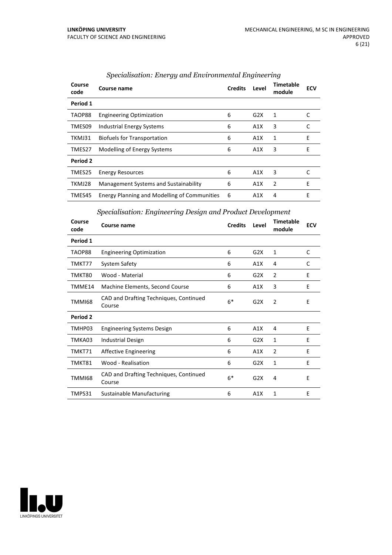| Course<br>code | Course name                                         | <b>Credits</b> | Level | Timetable<br>module | <b>ECV</b> |
|----------------|-----------------------------------------------------|----------------|-------|---------------------|------------|
| Period 1       |                                                     |                |       |                     |            |
| TAOP88         | <b>Engineering Optimization</b>                     | 6              | G2X   | 1                   |            |
| TMES09         | <b>Industrial Energy Systems</b>                    | 6              | A1X   | 3                   | C          |
| TKMJ31         | <b>Biofuels for Transportation</b>                  | 6              | A1X   | 1                   | E          |
| TMES27         | Modelling of Energy Systems                         | 6              | A1X   | 3                   | E          |
| Period 2       |                                                     |                |       |                     |            |
| TMES25         | <b>Energy Resources</b>                             | 6              | A1X   | 3                   |            |
| TKMJ28         | Management Systems and Sustainability               | 6              | A1X   | 2                   | E          |
| TMES45         | <b>Energy Planning and Modelling of Communities</b> | 6              | A1X   | 4                   | E          |

#### *Specialisation: Energy and Environmental Engineering*

#### *Specialisation: Engineering Design and Product Development*

| Course<br>code | Course name                                      | <b>Credits</b> | Level            | <b>Timetable</b><br>module | <b>ECV</b> |
|----------------|--------------------------------------------------|----------------|------------------|----------------------------|------------|
| Period 1       |                                                  |                |                  |                            |            |
| TAOP88         | <b>Engineering Optimization</b>                  | 6              | G2X              | $\mathbf{1}$               | C          |
| TMKT77         | System Safety                                    | 6              | A1X              | 4                          | C          |
| TMKT80         | Wood - Material                                  | 6              | G2X              | 2                          | E          |
| TMME14         | Machine Elements, Second Course                  | 6              | A1X              | 3                          | E          |
| TMMI68         | CAD and Drafting Techniques, Continued<br>Course | $6*$           | G2X              | $\overline{2}$             | E          |
| Period 2       |                                                  |                |                  |                            |            |
| TMHP03         | <b>Engineering Systems Design</b>                | 6              | A1X              | 4                          | E          |
| TMKA03         | <b>Industrial Design</b>                         | 6              | G2X              | $\mathbf{1}$               | E          |
| TMKT71         | <b>Affective Engineering</b>                     | 6              | A1X              | $\overline{2}$             | E          |
| TMKT81         | Wood - Realisation                               | 6              | G <sub>2</sub> X | 1                          | Ε          |
| TMMI68         | CAD and Drafting Techniques, Continued<br>Course | $6*$           | G2X              | 4                          | E          |
| TMPS31         | Sustainable Manufacturing                        | 6              | A1X              | 1                          | E          |

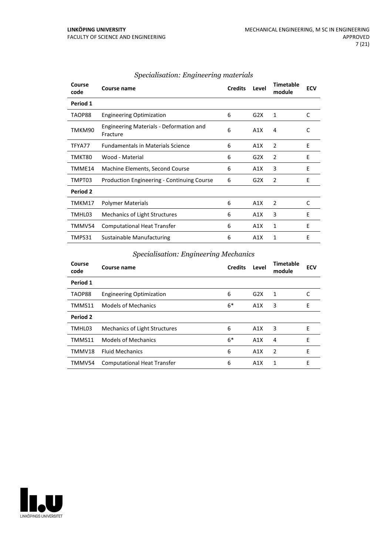| Course<br>code | Course name                                         | <b>Credits</b> | Level | <b>Timetable</b><br>module | <b>ECV</b> |
|----------------|-----------------------------------------------------|----------------|-------|----------------------------|------------|
| Period 1       |                                                     |                |       |                            |            |
| TAOP88         | <b>Engineering Optimization</b>                     | 6              | G2X   | 1                          | C          |
| TMKM90         | Engineering Materials - Deformation and<br>Fracture | 6              | A1X   | 4                          | C          |
| TFYA77         | <b>Fundamentals in Materials Science</b>            | 6              | A1X   | 2                          | E          |
| TMKT80         | Wood - Material                                     | 6              | G2X   | $\overline{2}$             | E          |
| TMME14         | Machine Elements, Second Course                     | 6              | A1X   | 3                          | E          |
| TMPT03         | <b>Production Engineering - Continuing Course</b>   | 6              | G2X   | 2                          | E          |
| Period 2       |                                                     |                |       |                            |            |
| TMKM17         | <b>Polymer Materials</b>                            | 6              | A1X   | 2                          | C          |
| TMHL03         | <b>Mechanics of Light Structures</b>                | 6              | A1X   | 3                          | E          |
| TMMV54         | <b>Computational Heat Transfer</b>                  | 6              | A1X   | 1                          | E          |
| TMPS31         | Sustainable Manufacturing                           | 6              | A1X   | 1                          | E          |

#### *Specialisation: Engineering materials*

#### *Specialisation: Engineering Mechanics*

| Course<br>code | Course name                          | <b>Credits</b> | Level | <b>Timetable</b><br>module | <b>ECV</b> |
|----------------|--------------------------------------|----------------|-------|----------------------------|------------|
| Period 1       |                                      |                |       |                            |            |
| TAOP88         | <b>Engineering Optimization</b>      | 6              | G2X   | 1                          | C          |
| TMMS11         | <b>Models of Mechanics</b>           | $6*$           | A1X   | 3                          | E          |
| Period 2       |                                      |                |       |                            |            |
| TMHL03         | <b>Mechanics of Light Structures</b> | 6              | A1X   | 3                          | E          |
| TMMS11         | <b>Models of Mechanics</b>           | $6*$           | A1X   | 4                          | E          |
| TMMV18         | <b>Fluid Mechanics</b>               | 6              | A1X   | 2                          | E          |
| TMMV54         | <b>Computational Heat Transfer</b>   | 6              | A1X   | 1                          | E          |

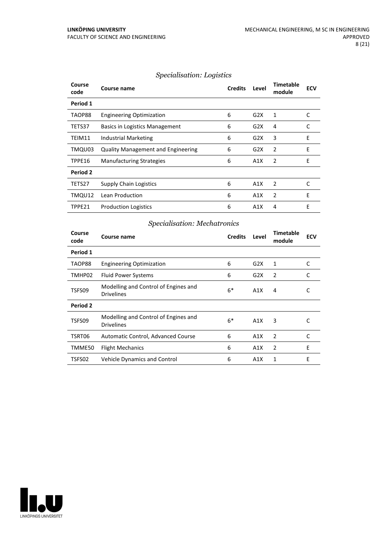#### *Specialisation: Logistics*

| Course<br>code | Course name                               | <b>Credits</b> | Level | <b>Timetable</b><br>module | <b>ECV</b> |
|----------------|-------------------------------------------|----------------|-------|----------------------------|------------|
| Period 1       |                                           |                |       |                            |            |
| TAOP88         | <b>Engineering Optimization</b>           | 6              | G2X   | 1                          | C          |
| TETS37         | <b>Basics in Logistics Management</b>     | 6              | G2X   | 4                          | C          |
| TEIM11         | Industrial Marketing                      | 6              | G2X   | 3                          | E          |
| TMQU03         | <b>Quality Management and Engineering</b> | 6              | G2X   | 2                          | E          |
| TPPE16         | <b>Manufacturing Strategies</b>           | 6              | A1X   | 2                          | E          |
| Period 2       |                                           |                |       |                            |            |
| TETS27         | <b>Supply Chain Logistics</b>             | 6              | A1X   | 2                          | C          |
| TMQU12         | Lean Production                           | 6              | A1X   | 2                          | E          |
| TPPE21         | <b>Production Logistics</b>               | 6              | A1X   | 4                          | E          |

#### *Specialisation: Mechatronics*

| Course<br>code | Course name                                               | <b>Credits</b> | Level | <b>Timetable</b><br>module | <b>ECV</b> |
|----------------|-----------------------------------------------------------|----------------|-------|----------------------------|------------|
| Period 1       |                                                           |                |       |                            |            |
| TAOP88         | <b>Engineering Optimization</b>                           | 6              | G2X   | 1                          | C          |
| TMHP02         | <b>Fluid Power Systems</b>                                | 6              | G2X   | 2                          | C          |
| TSFS09         | Modelling and Control of Engines and<br><b>Drivelines</b> | $6*$           | A1X   | 4                          | C          |
| Period 2       |                                                           |                |       |                            |            |
| TSFS09         | Modelling and Control of Engines and<br><b>Drivelines</b> | $6*$           | A1X   | 3                          | C          |
| TSRT06         | Automatic Control, Advanced Course                        | 6              | A1X   | 2                          | C          |
| TMME50         | <b>Flight Mechanics</b>                                   | 6              | A1X   | $\overline{2}$             | E          |
| TSFS02         | <b>Vehicle Dynamics and Control</b>                       | 6              | A1X   | 1                          | E          |

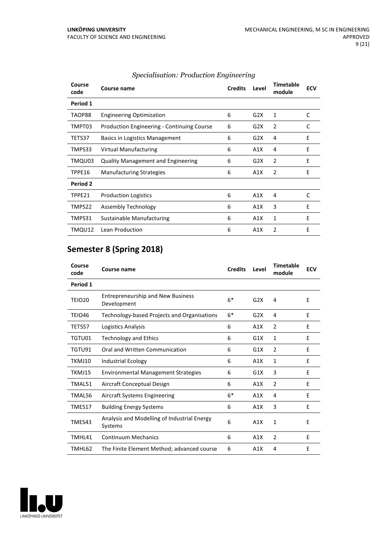| Course<br>code | Course name                                       | <b>Credits</b> | Level | <b>Timetable</b><br>module | <b>ECV</b> |
|----------------|---------------------------------------------------|----------------|-------|----------------------------|------------|
| Period 1       |                                                   |                |       |                            |            |
| TAOP88         | <b>Engineering Optimization</b>                   | 6              | G2X   | 1                          | C          |
| TMPT03         | <b>Production Engineering - Continuing Course</b> | 6              | G2X   | 2                          | C          |
| TETS37         | Basics in Logistics Management                    | 6              | G2X   | 4                          | E          |
| TMPS33         | Virtual Manufacturing                             | 6              | A1X   | 4                          | E          |
| TMQU03         | <b>Quality Management and Engineering</b>         | 6              | G2X   | 2                          | F          |
| TPPE16         | <b>Manufacturing Strategies</b>                   | 6              | A1X   | 2                          | E          |
| Period 2       |                                                   |                |       |                            |            |
| TPPE21         | <b>Production Logistics</b>                       | 6              | A1X   | 4                          | C          |
| TMPS22         | Assembly Technology                               | 6              | A1X   | 3                          | E          |
| TMPS31         | Sustainable Manufacturing                         | 6              | A1X   | $\mathbf{1}$               | E          |
| TMQU12         | Lean Production                                   | 6              | A1X   | $\mathfrak{p}$             | E          |

#### *Specialisation: Production Engineering*

# **Semester 8 (Spring 2018)**

| Course<br>code | <b>Course name</b>                                      | <b>Credits</b> | Level | <b>Timetable</b><br>module | <b>ECV</b> |
|----------------|---------------------------------------------------------|----------------|-------|----------------------------|------------|
| Period 1       |                                                         |                |       |                            |            |
| <b>TEIO20</b>  | <b>Entrepreneurship and New Business</b><br>Development | $6*$           | G2X   | 4                          | E          |
| TEIO46         | Technology-based Projects and Organisations             | $6*$           | G2X   | 4                          | F          |
| TETS57         | Logistics Analysis                                      | 6              | A1X   | 2                          | E          |
| TGTU01         | <b>Technology and Ethics</b>                            | 6              | G1X   | 1                          | E          |
| TGTU91         | Oral and Written Communication                          | 6              | G1X   | $\overline{2}$             | E          |
| TKMJ10         | <b>Industrial Ecology</b>                               | 6              | A1X   | 1                          | E          |
| TKMJ15         | <b>Environmental Management Strategies</b>              | 6              | G1X   | 3                          | E          |
| TMAL51         | Aircraft Conceptual Design                              | 6              | A1X   | $\overline{2}$             | E          |
| TMAL56         | Aircraft Systems Engineering                            | $6*$           | A1X   | 4                          | E          |
| TMES17         | <b>Building Energy Systems</b>                          | 6              | A1X   | 3                          | E          |
| TMES43         | Analysis and Modelling of Industrial Energy<br>Systems  | 6              | A1X   | 1                          | E          |
| TMHL41         | <b>Continuum Mechanics</b>                              | 6              | A1X   | $\overline{2}$             | E          |
| TMHL62         | The Finite Element Method; advanced course              | 6              | A1X   | 4                          | E          |

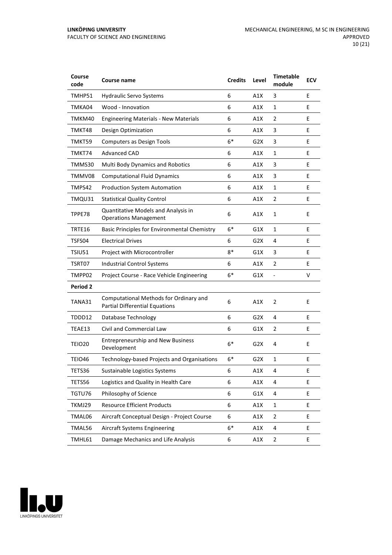| Course<br>code  | <b>Course name</b>                                                              | <b>Credits</b> | Level            | <b>Timetable</b><br>module | <b>ECV</b> |
|-----------------|---------------------------------------------------------------------------------|----------------|------------------|----------------------------|------------|
| TMHP51          | <b>Hydraulic Servo Systems</b>                                                  | 6              | A1X              | 3                          | E          |
| TMKA04          | Wood - Innovation                                                               | 6              | A1X              | $\mathbf{1}$               | E          |
| TMKM40          | <b>Engineering Materials - New Materials</b>                                    | 6              | A1X              | 2                          | E          |
| TMKT48          | Design Optimization                                                             | 6              | A1X              | 3                          | E          |
| TMKT59          | <b>Computers as Design Tools</b>                                                | $6*$           | G2X              | 3                          | E          |
| TMKT74          | <b>Advanced CAD</b>                                                             | 6              | A1X              | $\mathbf{1}$               | E          |
| TMMS30          | Multi Body Dynamics and Robotics                                                | 6              | A1X              | 3                          | E          |
| TMMV08          | <b>Computational Fluid Dynamics</b>                                             | 6              | A1X              | 3                          | E          |
| TMPS42          | <b>Production System Automation</b>                                             | 6              | A1X              | $\mathbf{1}$               | E          |
| TMQU31          | <b>Statistical Quality Control</b>                                              | 6              | A1X              | $\overline{2}$             | E          |
| TPPE78          | Quantitative Models and Analysis in<br><b>Operations Management</b>             | 6              | A1X              | $\mathbf{1}$               | E          |
| TRTE16          | <b>Basic Principles for Environmental Chemistry</b>                             | $6*$           | G1X              | 1                          | E          |
| TSFS04          | <b>Electrical Drives</b>                                                        | 6              | G2X              | 4                          | E          |
| TSIU51          | Project with Microcontroller                                                    | $8*$           | G1X              | 3                          | E          |
| TSRT07          | <b>Industrial Control Systems</b>                                               | 6              | A1X              | 2                          | E          |
| TMPP02          | Project Course - Race Vehicle Engineering                                       | $6*$           | G1X              | $\overline{a}$             | v          |
| <b>Period 2</b> |                                                                                 |                |                  |                            |            |
| TANA31          | Computational Methods for Ordinary and<br><b>Partial Differential Equations</b> | 6              | A1X              | $\overline{2}$             | E          |
| TDDD12          | Database Technology                                                             | 6              | G2X              | 4                          | E          |
| TEAE13          | Civil and Commercial Law                                                        | 6              | G1X              | $\overline{2}$             | E          |
| TEIO20          | <b>Entrepreneurship and New Business</b><br>Development                         | $6*$           | G2X              | 4                          | E          |
| <b>TEIO46</b>   | Technology-based Projects and Organisations                                     | 6*             | G <sub>2</sub> X | 1                          | E          |
| TETS36          | Sustainable Logistics Systems                                                   | 6              | A1X              | 4                          | E          |
| TETS56          | Logistics and Quality in Health Care                                            | 6              | A1X              | 4                          | E.         |
| TGTU76          | Philosophy of Science                                                           | 6              | G1X              | 4                          | E.         |
| TKMJ29          | <b>Resource Efficient Products</b>                                              | 6              | A1X              | $\mathbf{1}$               | E.         |
| TMAL06          | Aircraft Conceptual Design - Project Course                                     | 6              | A1X              | $\overline{2}$             | E          |
| TMAL56          | <b>Aircraft Systems Engineering</b>                                             | $6^*$          | A1X              | 4                          | E          |
| TMHL61          | Damage Mechanics and Life Analysis                                              | 6              | A1X              | $\overline{2}$             | E          |

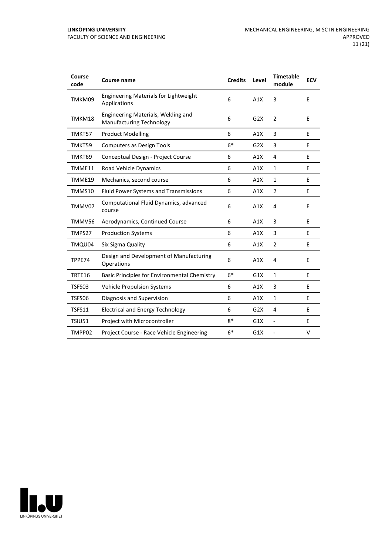| Course<br>code | <b>Course name</b>                                                    | <b>Credits</b> | Level | <b>Timetable</b><br>module | <b>ECV</b> |
|----------------|-----------------------------------------------------------------------|----------------|-------|----------------------------|------------|
| TMKM09         | <b>Engineering Materials for Lightweight</b><br>Applications          | 6              | A1X   | 3                          | E          |
| TMKM18         | Engineering Materials, Welding and<br><b>Manufacturing Technology</b> | 6              | G2X   | $\overline{2}$             | E          |
| TMKT57         | <b>Product Modelling</b>                                              | 6              | A1X   | 3                          | E          |
| TMKT59         | <b>Computers as Design Tools</b>                                      | $6*$           | G2X   | 3                          | E          |
| TMKT69         | Conceptual Design - Project Course                                    | 6              | A1X   | 4                          | E          |
| TMME11         | Road Vehicle Dynamics                                                 | 6              | A1X   | $\mathbf{1}$               | E          |
| TMME19         | Mechanics, second course                                              | 6              | A1X   | 1                          | E          |
| TMMS10         | Fluid Power Systems and Transmissions                                 | 6              | A1X   | 2                          | E          |
| TMMV07         | Computational Fluid Dynamics, advanced<br>course                      | 6              | A1X   | 4                          | E          |
| TMMV56         | Aerodynamics, Continued Course                                        | 6              | A1X   | 3                          | E          |
| TMPS27         | <b>Production Systems</b>                                             | 6              | A1X   | 3                          | E          |
| TMQU04         | Six Sigma Quality                                                     | 6              | A1X   | $\overline{2}$             | E          |
| TPPE74         | Design and Development of Manufacturing<br>Operations                 | 6              | A1X   | $\overline{4}$             | E          |
| TRTE16         | Basic Principles for Environmental Chemistry                          | $6*$           | G1X   | $\mathbf{1}$               | E          |
| TSFS03         | <b>Vehicle Propulsion Systems</b>                                     | 6              | A1X   | 3                          | E          |
| TSFS06         | Diagnosis and Supervision                                             | 6              | A1X   | 1                          | E          |
| <b>TSFS11</b>  | <b>Electrical and Energy Technology</b>                               | 6              | G2X   | 4                          | E          |
| <b>TSIU51</b>  | Project with Microcontroller                                          | $8*$           | G1X   | $\overline{a}$             | Е          |
| TMPP02         | Project Course - Race Vehicle Engineering                             | $6*$           | G1X   |                            | V          |

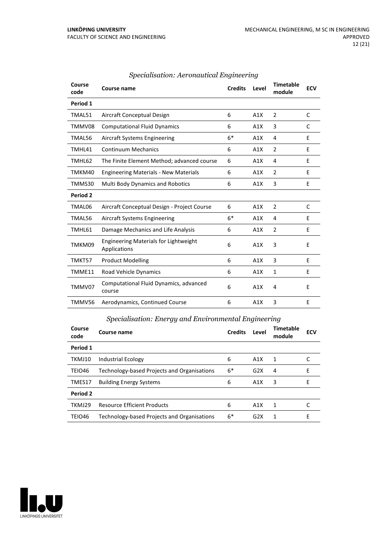| Course<br>code | Course name                                                  | <b>Credits</b> | Level | <b>Timetable</b><br>module | <b>ECV</b> |
|----------------|--------------------------------------------------------------|----------------|-------|----------------------------|------------|
| Period 1       |                                                              |                |       |                            |            |
| TMAL51         | Aircraft Conceptual Design                                   | 6              | A1X   | 2                          | C          |
| TMMV08         | <b>Computational Fluid Dynamics</b>                          | 6              | A1X   | 3                          | C          |
| TMAL56         | Aircraft Systems Engineering                                 | $6*$           | A1X   | 4                          | E          |
| TMHL41         | <b>Continuum Mechanics</b>                                   | 6              | A1X   | 2                          | E          |
| TMHL62         | The Finite Element Method; advanced course                   | 6              | A1X   | 4                          | E          |
| TMKM40         | <b>Engineering Materials - New Materials</b>                 | 6              | A1X   | 2                          | E          |
| TMMS30         | Multi Body Dynamics and Robotics                             | 6              | A1X   | 3                          | E          |
| Period 2       |                                                              |                |       |                            |            |
| TMAL06         | Aircraft Conceptual Design - Project Course                  | 6              | A1X   | 2                          | C          |
| TMAL56         | Aircraft Systems Engineering                                 | $6*$           | A1X   | 4                          | E          |
| TMHL61         | Damage Mechanics and Life Analysis                           | 6              | A1X   | 2                          | E          |
| TMKM09         | <b>Engineering Materials for Lightweight</b><br>Applications | 6              | A1X   | 3                          | E          |
| TMKT57         | <b>Product Modelling</b>                                     | 6              | A1X   | 3                          | E          |
| TMME11         | <b>Road Vehicle Dynamics</b>                                 | 6              | A1X   | $\mathbf{1}$               | E          |
| TMMV07         | Computational Fluid Dynamics, advanced<br>course             | 6              | A1X   | 4                          | E          |
| TMMV56         | Aerodynamics, Continued Course                               | 6              | A1X   | 3                          | E          |

#### *Specialisation: Aeronautical Engineering*

| Specialisation: Energy and Environmental Engineering |                                             |                |       |                     |            |  |  |
|------------------------------------------------------|---------------------------------------------|----------------|-------|---------------------|------------|--|--|
| Course<br>code                                       | <b>Course name</b>                          | <b>Credits</b> | Level | Timetable<br>module | <b>ECV</b> |  |  |
| Period 1                                             |                                             |                |       |                     |            |  |  |
| TKMJ10                                               | <b>Industrial Ecology</b>                   | 6              | A1X   | 1                   |            |  |  |
| TEIO46                                               | Technology-based Projects and Organisations | $6*$           | G2X   | 4                   | E          |  |  |
| TMES17                                               | <b>Building Energy Systems</b>              | 6              | A1X   | 3                   | E          |  |  |
| <b>Period 2</b>                                      |                                             |                |       |                     |            |  |  |
| TKMJ29                                               | <b>Resource Efficient Products</b>          | 6              | A1X   | -1                  |            |  |  |
| TEIO46                                               | Technology-based Projects and Organisations | $6*$           | G2X   |                     | E          |  |  |

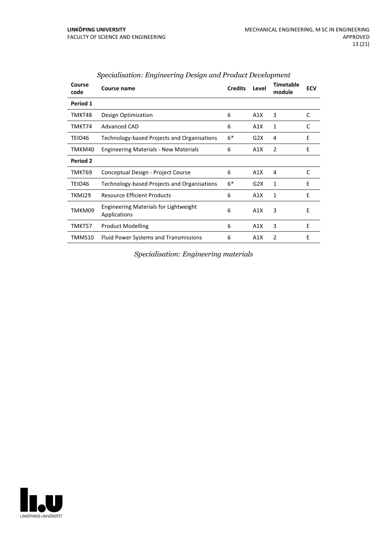| Course<br>code | Course name                                           | <b>Credits</b> | Level | <b>Timetable</b><br>module | <b>ECV</b> |
|----------------|-------------------------------------------------------|----------------|-------|----------------------------|------------|
| Period 1       |                                                       |                |       |                            |            |
| TMKT48         | Design Optimization                                   | 6              | A1X   | 3                          | C          |
| TMKT74         | <b>Advanced CAD</b>                                   | 6              | A1X   | 1                          | C          |
| TEIO46         | Technology-based Projects and Organisations           | $6*$           | G2X   | 4                          | E          |
| TMKM40         | <b>Engineering Materials - New Materials</b>          | 6              | A1X   | $\overline{2}$             | E          |
| Period 2       |                                                       |                |       |                            |            |
| TMKT69         | Conceptual Design - Project Course                    | 6              | A1X   | 4                          | C          |
| TEIO46         | Technology-based Projects and Organisations           | $6*$           | G2X   | 1                          | E          |
| TKMJ29         | <b>Resource Efficient Products</b>                    | 6              | A1X   | 1                          | F          |
| TMKM09         | Engineering Materials for Lightweight<br>Applications | 6              | A1X   | 3                          | E          |
| TMKT57         | <b>Product Modelling</b>                              | 6              | A1X   | 3                          | E          |
| TMMS10         | <b>Fluid Power Systems and Transmissions</b>          | 6              | A1X   | $\overline{2}$             | E          |

#### *Specialisation: Engineering Design and Product Development*

*Specialisation: Engineering materials*

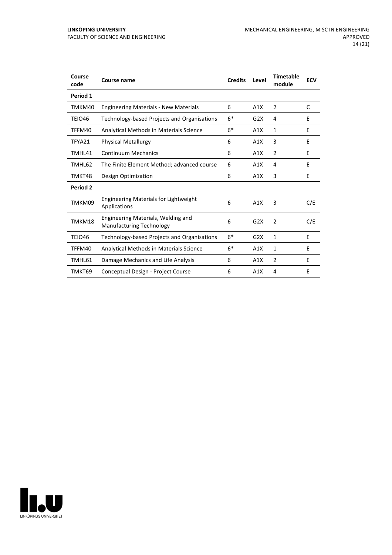| Course<br>code | Course name                                                           | <b>Credits</b> | Level | <b>Timetable</b><br>module | <b>ECV</b> |
|----------------|-----------------------------------------------------------------------|----------------|-------|----------------------------|------------|
| Period 1       |                                                                       |                |       |                            |            |
| TMKM40         | <b>Engineering Materials - New Materials</b>                          | 6              | A1X   | 2                          | C          |
| TEIO46         | Technology-based Projects and Organisations                           | $6*$           | G2X   | 4                          | E          |
| TFFM40         | Analytical Methods in Materials Science                               | $6*$           | A1X   | $\mathbf{1}$               | E          |
| TFYA21         | <b>Physical Metallurgy</b>                                            | 6              | A1X   | 3                          | E          |
| TMHL41         | <b>Continuum Mechanics</b>                                            | 6              | A1X   | 2                          | Ε          |
| TMHL62         | The Finite Element Method; advanced course                            | 6              | A1X   | 4                          | E          |
| TMKT48         | Design Optimization                                                   | 6              | A1X   | 3                          | Ε          |
| Period 2       |                                                                       |                |       |                            |            |
| TMKM09         | Engineering Materials for Lightweight<br>Applications                 | 6              | A1X   | 3                          | C/E        |
| TMKM18         | Engineering Materials, Welding and<br><b>Manufacturing Technology</b> | 6              | G2X   | $\overline{2}$             | C/E        |
| <b>TEIO46</b>  | Technology-based Projects and Organisations                           | $6*$           | G2X   | 1                          | E          |
| TFFM40         | Analytical Methods in Materials Science                               | $6*$           | A1X   | $\mathbf{1}$               | F          |
| TMHL61         | Damage Mechanics and Life Analysis                                    | 6              | A1X   | $\overline{2}$             | E          |
| TMKT69         | Conceptual Design - Project Course                                    | 6              | A1X   | 4                          | E          |

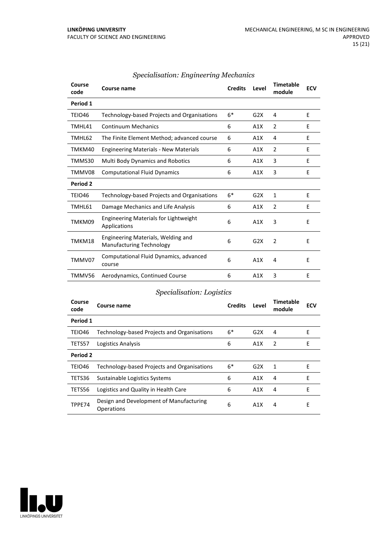| Course<br>code | <b>Course name</b>                                                    | <b>Credits</b> | Level | <b>Timetable</b><br>module | <b>ECV</b> |
|----------------|-----------------------------------------------------------------------|----------------|-------|----------------------------|------------|
| Period 1       |                                                                       |                |       |                            |            |
| TEIO46         | Technology-based Projects and Organisations                           | $6*$           | G2X   | 4                          | E          |
| TMHL41         | <b>Continuum Mechanics</b>                                            | 6              | A1X   | $\overline{2}$             | F          |
| TMHL62         | The Finite Element Method; advanced course                            | 6              | A1X   | 4                          | E          |
| TMKM40         | <b>Engineering Materials - New Materials</b>                          | 6              | A1X   | 2                          | E          |
| TMMS30         | <b>Multi Body Dynamics and Robotics</b>                               | 6              | A1X   | 3                          | E          |
| TMMV08         | <b>Computational Fluid Dynamics</b>                                   | 6              | A1X   | 3                          | E          |
| Period 2       |                                                                       |                |       |                            |            |
| TEIO46         | Technology-based Projects and Organisations                           | $6*$           | G2X   | $\mathbf{1}$               | E          |
| TMHL61         | Damage Mechanics and Life Analysis                                    | 6              | A1X   | $\overline{2}$             | E          |
| TMKM09         | <b>Engineering Materials for Lightweight</b><br>Applications          | 6              | A1X   | 3                          | E          |
| TMKM18         | Engineering Materials, Welding and<br><b>Manufacturing Technology</b> | 6              | G2X   | 2                          | E          |
| TMMV07         | Computational Fluid Dynamics, advanced<br>course                      | 6              | A1X   | 4                          | E          |
| TMMV56         | Aerodynamics, Continued Course                                        | 6              | A1X   | 3                          | F          |

#### *Specialisation: Engineering Mechanics*

#### *Specialisation: Logistics*

| Course<br>code | Course name                                           | <b>Credits</b> | Level | Timetable<br>module | <b>ECV</b> |
|----------------|-------------------------------------------------------|----------------|-------|---------------------|------------|
| Period 1       |                                                       |                |       |                     |            |
| TEIO46         | Technology-based Projects and Organisations           | $6*$           | G2X   | 4                   | Е          |
| TETS57         | Logistics Analysis                                    | 6              | A1X   | 2                   | Е          |
| Period 2       |                                                       |                |       |                     |            |
| TEIO46         | Technology-based Projects and Organisations           | $6*$           | G2X   | 1                   | E          |
| TETS36         | Sustainable Logistics Systems                         | 6              | A1X   | 4                   | E          |
| TETS56         | Logistics and Quality in Health Care                  | 6              | A1X   | 4                   | E          |
| TPPE74         | Design and Development of Manufacturing<br>Operations | 6              | A1X   | 4                   | E          |

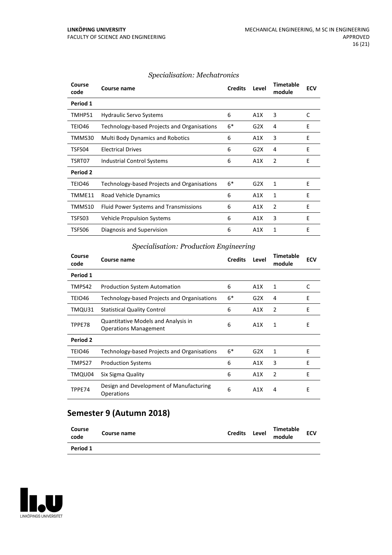| Course<br>code | Course name                                 | <b>Credits</b> | Level | <b>Timetable</b><br>module | <b>ECV</b> |
|----------------|---------------------------------------------|----------------|-------|----------------------------|------------|
| Period 1       |                                             |                |       |                            |            |
| TMHP51         | <b>Hydraulic Servo Systems</b>              | 6              | A1X   | 3                          | C          |
| TEIO46         | Technology-based Projects and Organisations | $6*$           | G2X   | 4                          | E          |
| TMMS30         | <b>Multi Body Dynamics and Robotics</b>     | 6              | A1X   | 3                          | Ε          |
| TSFS04         | <b>Electrical Drives</b>                    | 6              | G2X   | 4                          | E          |
| TSRT07         | Industrial Control Systems                  | 6              | A1X   | 2                          | E          |
| Period 2       |                                             |                |       |                            |            |
| TEIO46         | Technology-based Projects and Organisations | $6*$           | G2X   | 1                          | E          |
| TMME11         | Road Vehicle Dynamics                       | 6              | A1X   | 1                          | E          |
| TMMS10         | Fluid Power Systems and Transmissions       | 6              | A1X   | 2                          | E          |
| TSFS03         | <b>Vehicle Propulsion Systems</b>           | 6              | A1X   | 3                          | E          |
| TSFS06         | Diagnosis and Supervision                   | 6              | A1X   | 1                          | E          |

#### *Specialisation: Mechatronics*

#### *Specialisation: Production Engineering*

| Course<br>code  | Course name                                                         | <b>Credits</b> | Level | <b>Timetable</b><br>module | <b>ECV</b> |
|-----------------|---------------------------------------------------------------------|----------------|-------|----------------------------|------------|
| Period 1        |                                                                     |                |       |                            |            |
| TMPS42          | <b>Production System Automation</b>                                 | 6              | A1X   | 1                          | C          |
| TEIO46          | Technology-based Projects and Organisations                         | $6*$           | G2X   | 4                          | E          |
| TMQU31          | <b>Statistical Quality Control</b>                                  | 6              | A1X   | $\overline{2}$             | E          |
| TPPE78          | Quantitative Models and Analysis in<br><b>Operations Management</b> | 6              | A1X   | 1                          | E          |
| <b>Period 2</b> |                                                                     |                |       |                            |            |
| TEIO46          | Technology-based Projects and Organisations                         | $6*$           | G2X   | 1                          | E          |
| TMPS27          | <b>Production Systems</b>                                           | 6              | A1X   | 3                          | E          |
| TMQU04          | Six Sigma Quality                                                   | 6              | A1X   | $\overline{2}$             | E          |
| TPPE74          | Design and Development of Manufacturing<br>Operations               | 6              | A1X   | 4                          | Е          |

### **Semester 9 (Autumn 2018)**

| Course<br>code | Course name | <b>Credits</b> | Level | Timetable<br>module | <b>ECV</b> |  |
|----------------|-------------|----------------|-------|---------------------|------------|--|
| Period 1       |             |                |       |                     |            |  |

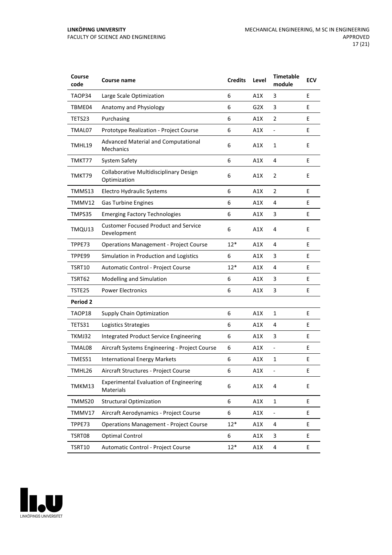| Course<br>code  | Course name                                                | <b>Credits</b> | Level | <b>Timetable</b><br>module | <b>ECV</b> |
|-----------------|------------------------------------------------------------|----------------|-------|----------------------------|------------|
| TAOP34          | Large Scale Optimization                                   | 6              | A1X   | 3                          | E          |
| TBME04          | Anatomy and Physiology                                     | 6              | G2X   | 3                          | E          |
| TETS23          | Purchasing                                                 | 6              | A1X   | 2                          | E          |
| TMAL07          | Prototype Realization - Project Course                     | 6              | A1X   | $\overline{\phantom{0}}$   | E          |
| TMHL19          | Advanced Material and Computational<br><b>Mechanics</b>    | 6              | A1X   | $\mathbf{1}$               | E          |
| TMKT77          | <b>System Safety</b>                                       | 6              | A1X   | 4                          | E          |
| TMKT79          | Collaborative Multidisciplinary Design<br>Optimization     | 6              | A1X   | 2                          | E          |
| TMMS13          | Electro Hydraulic Systems                                  | 6              | A1X   | $\overline{2}$             | E          |
| TMMV12          | <b>Gas Turbine Engines</b>                                 | 6              | A1X   | 4                          | E          |
| TMPS35          | <b>Emerging Factory Technologies</b>                       | 6              | A1X   | 3                          | Е          |
| TMQU13          | <b>Customer Focused Product and Service</b><br>Development | 6              | A1X   | 4                          | E          |
| TPPE73          | <b>Operations Management - Project Course</b>              | $12*$          | A1X   | 4                          | E          |
| TPPE99          | Simulation in Production and Logistics                     | 6              | A1X   | 3                          | E          |
| TSRT10          | Automatic Control - Project Course                         | $12*$          | A1X   | 4                          | E          |
| TSRT62          | Modelling and Simulation                                   | 6              | A1X   | 3                          | E          |
| TSTE25          | <b>Power Electronics</b>                                   | 6              | A1X   | 3                          | E          |
| <b>Period 2</b> |                                                            |                |       |                            |            |
| TAOP18          | <b>Supply Chain Optimization</b>                           | 6              | A1X   | 1                          | E          |
| <b>TETS31</b>   | Logistics Strategies                                       | 6              | A1X   | 4                          | E          |
| TKMJ32          | <b>Integrated Product Service Engineering</b>              | 6              | A1X   | 3                          | E          |
| TMAL08          | Aircraft Systems Engineering - Project Course              | 6              | A1X   | $\overline{\phantom{0}}$   | E          |
| TMES51          | <b>International Energy Markets</b>                        | 6              | A1X   | 1                          | E          |
| TMHL26          | Aircraft Structures - Project Course                       | 6              | A1X   |                            | Е          |
| TMKM13          | <b>Experimental Evaluation of Engineering</b><br>Materials | 6              | A1X   | 4                          | E          |
| TMMS20          | <b>Structural Optimization</b>                             | 6              | A1X   | $\mathbf{1}$               | E          |
| TMMV17          | Aircraft Aerodynamics - Project Course                     | 6              | A1X   | Ξ,                         | E.         |
| TPPE73          | <b>Operations Management - Project Course</b>              | $12*$          | A1X   | 4                          | E          |
| TSRT08          | Optimal Control                                            | 6              | A1X   | 3                          | E          |
| <b>TSRT10</b>   | Automatic Control - Project Course                         | $12*$          | A1X   | 4                          | E          |

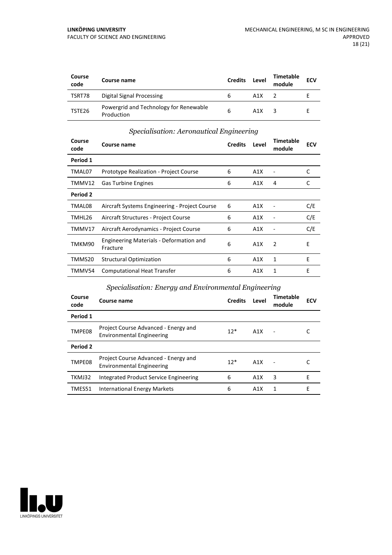| Course<br>code | Course name                                          | <b>Credits</b> | Level | Timetable<br>module | <b>ECV</b> |
|----------------|------------------------------------------------------|----------------|-------|---------------------|------------|
| TSRT78         | Digital Signal Processing                            | b              | A1X   |                     |            |
| TSTE26         | Powergrid and Technology for Renewable<br>Production | 6              | A1X   |                     |            |

#### *Specialisation: Aeronautical Engineering*

| Course<br>code | Course name                                         | <b>Credits</b> | Level | Timetable<br>module | <b>ECV</b> |
|----------------|-----------------------------------------------------|----------------|-------|---------------------|------------|
| Period 1       |                                                     |                |       |                     |            |
| TMAL07         | <b>Prototype Realization - Project Course</b>       | 6              | A1X   |                     | C          |
| TMMV12         | <b>Gas Turbine Engines</b>                          | 6              | A1X   | 4                   | C          |
| Period 2       |                                                     |                |       |                     |            |
| TMAL08         | Aircraft Systems Engineering - Project Course       | 6              | A1X   |                     | C/E        |
| TMHL26         | Aircraft Structures - Project Course                | 6              | A1X   |                     | C/E        |
| TMMV17         | Aircraft Aerodynamics - Project Course              | 6              | A1X   |                     | C/E        |
| TMKM90         | Engineering Materials - Deformation and<br>Fracture | 6              | A1X   | 2                   | E          |
| TMMS20         | <b>Structural Optimization</b>                      | 6              | A1X   | $\mathbf{1}$        | E          |
| TMMV54         | <b>Computational Heat Transfer</b>                  | 6              | A1X   | 1                   | F          |

#### *Specialisation: Energy and Environmental Engineering*

| Course<br>code | Course name                                                              | <b>Credits</b> | Level | Timetable<br>module | <b>ECV</b> |
|----------------|--------------------------------------------------------------------------|----------------|-------|---------------------|------------|
| Period 1       |                                                                          |                |       |                     |            |
| TMPE08         | Project Course Advanced - Energy and<br><b>Environmental Engineering</b> | $12*$          | A1X   |                     |            |
| Period 2       |                                                                          |                |       |                     |            |
| TMPE08         | Project Course Advanced - Energy and<br><b>Environmental Engineering</b> | $12*$          | A1X   |                     |            |
| TKMJ32         | Integrated Product Service Engineering                                   | 6              | A1X   | 3                   | Е          |
| TMES51         | International Energy Markets                                             | 6              | A1X   | 1                   | F          |

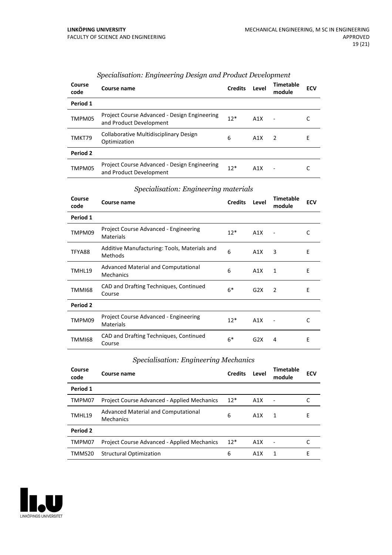| Course<br>code | Course name                                                             | <b>Credits</b> | Level | Timetable<br>module      | <b>ECV</b> |
|----------------|-------------------------------------------------------------------------|----------------|-------|--------------------------|------------|
| Period 1       |                                                                         |                |       |                          |            |
| TMPM05         | Project Course Advanced - Design Engineering<br>and Product Development | $12*$          | A1X   | $\overline{\phantom{a}}$ |            |
| TMKT79         | Collaborative Multidisciplinary Design<br>Optimization                  | 6              | A1X   | $\overline{2}$           | E          |
| Period 2       |                                                                         |                |       |                          |            |
| TMPM05         | Project Course Advanced - Design Engineering<br>and Product Development | $12*$          | A1X   |                          |            |

#### *Specialisation: Engineering Design and Product Development*

#### *Specialisation: Engineering materials*

| Course<br>code | Course name                                               | <b>Credits</b> | Level | <b>Timetable</b><br>module | <b>ECV</b> |
|----------------|-----------------------------------------------------------|----------------|-------|----------------------------|------------|
| Period 1       |                                                           |                |       |                            |            |
| TMPM09         | Project Course Advanced - Engineering<br><b>Materials</b> | $12*$          | A1X   |                            | C          |
| TFYA88         | Additive Manufacturing: Tools, Materials and<br>Methods   | 6              | A1X   | 3                          | E          |
| TMHL19         | Advanced Material and Computational<br>Mechanics          | 6              | A1X   | 1                          | Ε          |
| <b>TMMI68</b>  | CAD and Drafting Techniques, Continued<br>Course          | $6*$           | G2X   | $\mathcal{P}$              | E          |
| Period 2       |                                                           |                |       |                            |            |
| TMPM09         | Project Course Advanced - Engineering<br><b>Materials</b> | $12*$          | A1X   |                            | C          |
| TMMI68         | CAD and Drafting Techniques, Continued<br>Course          | $6*$           | G2X   | 4                          | E          |

#### *Specialisation: Engineering Mechanics*

| Course<br>code | <b>Course name</b>                                 | <b>Credits</b> | Level | Timetable<br>module      | <b>ECV</b> |
|----------------|----------------------------------------------------|----------------|-------|--------------------------|------------|
| Period 1       |                                                    |                |       |                          |            |
| TMPM07         | Project Course Advanced - Applied Mechanics        | $12*$          | A1X   | $\overline{\phantom{a}}$ |            |
| TMHL19         | Advanced Material and Computational<br>Mechanics   | 6              | A1X   |                          | E          |
| Period 2       |                                                    |                |       |                          |            |
| TMPM07         | <b>Project Course Advanced - Applied Mechanics</b> | $12*$          | A1X   |                          |            |
| TMMS20         | <b>Structural Optimization</b>                     | 6              | A1X   |                          | F          |

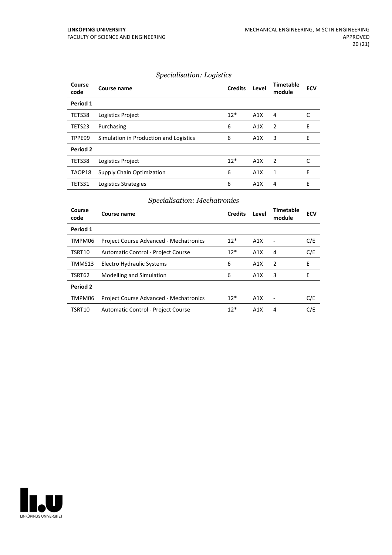#### *Specialisation: Logistics*

| Course<br>code | Course name                            | <b>Credits</b> | Level | Timetable<br>module      | <b>ECV</b> |
|----------------|----------------------------------------|----------------|-------|--------------------------|------------|
| Period 1       |                                        |                |       |                          |            |
| TETS38         | Logistics Project                      | $12*$          | A1X   | 4                        |            |
| TETS23         | Purchasing                             | 6              | A1X   | $\overline{2}$           | E          |
| TPPE99         | Simulation in Production and Logistics | 6              | A1X   | 3                        | E          |
| Period 2       |                                        |                |       |                          |            |
| TETS38         | Logistics Project                      | $12*$          | A1X   | $\overline{\phantom{a}}$ |            |
| TAOP18         | Supply Chain Optimization              | 6              | A1X   | 1                        | E          |
| TETS31         | Logistics Strategies                   | 6              | A1X   | $\overline{4}$           | F          |

#### *Specialisation: Mechatronics*

| Course<br>code | Course name                                   | <b>Credits</b> | Level            | <b>Timetable</b><br>module | <b>ECV</b> |
|----------------|-----------------------------------------------|----------------|------------------|----------------------------|------------|
| Period 1       |                                               |                |                  |                            |            |
| TMPM06         | <b>Project Course Advanced - Mechatronics</b> | $12*$          | A1X              |                            | C/E        |
| TSRT10         | Automatic Control - Project Course            | $12*$          | A1X              | 4                          | C/E        |
| TMMS13         | Electro Hydraulic Systems                     | 6              | A1X              | 2                          | E          |
| TSRT62         | <b>Modelling and Simulation</b>               | 6              | A1X              | 3                          | E          |
| Period 2       |                                               |                |                  |                            |            |
| TMPM06         | <b>Project Course Advanced - Mechatronics</b> | $12*$          | A1X              |                            | C/E        |
| TSRT10         | Automatic Control - Project Course            | $12*$          | A <sub>1</sub> X | 4                          | C/E        |